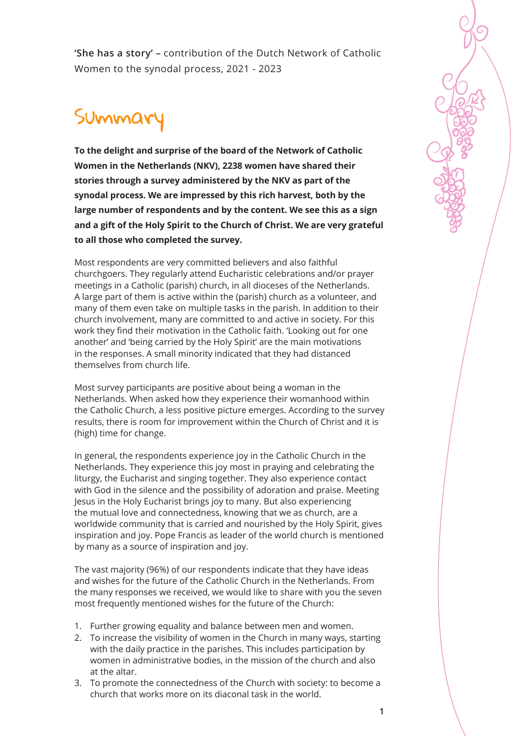**'She has a story' –** contribution of the Dutch Network of Catholic Women to the synodal process, 2021 - 2023

## Summar

**To the delight and surprise of the board of the Network of Catholic Women in the Netherlands (NKV), 2238 women have shared their stories through a survey administered by the NKV as part of the synodal process. We are impressed by this rich harvest, both by the large number of respondents and by the content. We see this as a sign and a gift of the Holy Spirit to the Church of Christ. We are very grateful to all those who completed the survey.**

Most respondents are very committed believers and also faithful churchgoers. They regularly attend Eucharistic celebrations and/or prayer meetings in a Catholic (parish) church, in all dioceses of the Netherlands. A large part of them is active within the (parish) church as a volunteer, and many of them even take on multiple tasks in the parish. In addition to their church involvement, many are committed to and active in society. For this work they find their motivation in the Catholic faith. 'Looking out for one another' and 'being carried by the Holy Spirit' are the main motivations in the responses. A small minority indicated that they had distanced themselves from church life.

Most survey participants are positive about being a woman in the Netherlands. When asked how they experience their womanhood within the Catholic Church, a less positive picture emerges. According to the survey results, there is room for improvement within the Church of Christ and it is (high) time for change.

In general, the respondents experience joy in the Catholic Church in the Netherlands. They experience this joy most in praying and celebrating the liturgy, the Eucharist and singing together. They also experience contact with God in the silence and the possibility of adoration and praise. Meeting Jesus in the Holy Eucharist brings joy to many. But also experiencing the mutual love and connectedness, knowing that we as church, are a worldwide community that is carried and nourished by the Holy Spirit, gives inspiration and joy. Pope Francis as leader of the world church is mentioned by many as a source of inspiration and joy.

The vast majority (96%) of our respondents indicate that they have ideas and wishes for the future of the Catholic Church in the Netherlands. From the many responses we received, we would like to share with you the seven most frequently mentioned wishes for the future of the Church:

- 1. Further growing equality and balance between men and women.
- 2. To increase the visibility of women in the Church in many ways, starting with the daily practice in the parishes. This includes participation by women in administrative bodies, in the mission of the church and also at the altar.
- 3. To promote the connectedness of the Church with society: to become a church that works more on its diaconal task in the world.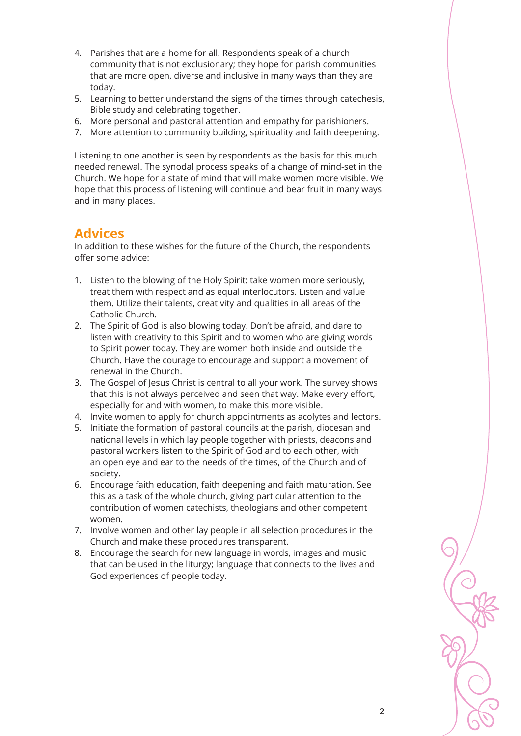- 4. Parishes that are a home for all. Respondents speak of a church community that is not exclusionary; they hope for parish communities that are more open, diverse and inclusive in many ways than they are today.
- 5. Learning to better understand the signs of the times through catechesis, Bible study and celebrating together.
- 6. More personal and pastoral attention and empathy for parishioners.
- 7. More attention to community building, spirituality and faith deepening.

Listening to one another is seen by respondents as the basis for this much needed renewal. The synodal process speaks of a change of mind-set in the Church. We hope for a state of mind that will make women more visible. We hope that this process of listening will continue and bear fruit in many ways and in many places.

## **Advices**

In addition to these wishes for the future of the Church, the respondents offer some advice:

- 1. Listen to the blowing of the Holy Spirit: take women more seriously, treat them with respect and as equal interlocutors. Listen and value them. Utilize their talents, creativity and qualities in all areas of the Catholic Church.
- 2. The Spirit of God is also blowing today. Don't be afraid, and dare to listen with creativity to this Spirit and to women who are giving words to Spirit power today. They are women both inside and outside the Church. Have the courage to encourage and support a movement of renewal in the Church.
- 3. The Gospel of Jesus Christ is central to all your work. The survey shows that this is not always perceived and seen that way. Make every effort, especially for and with women, to make this more visible.
- 4. Invite women to apply for church appointments as acolytes and lectors.
- 5. Initiate the formation of pastoral councils at the parish, diocesan and national levels in which lay people together with priests, deacons and pastoral workers listen to the Spirit of God and to each other, with an open eye and ear to the needs of the times, of the Church and of society.
- 6. Encourage faith education, faith deepening and faith maturation. See this as a task of the whole church, giving particular attention to the contribution of women catechists, theologians and other competent women.
- 7. Involve women and other lay people in all selection procedures in the Church and make these procedures transparent.
- 8. Encourage the search for new language in words, images and music that can be used in the liturgy; language that connects to the lives and God experiences of people today.